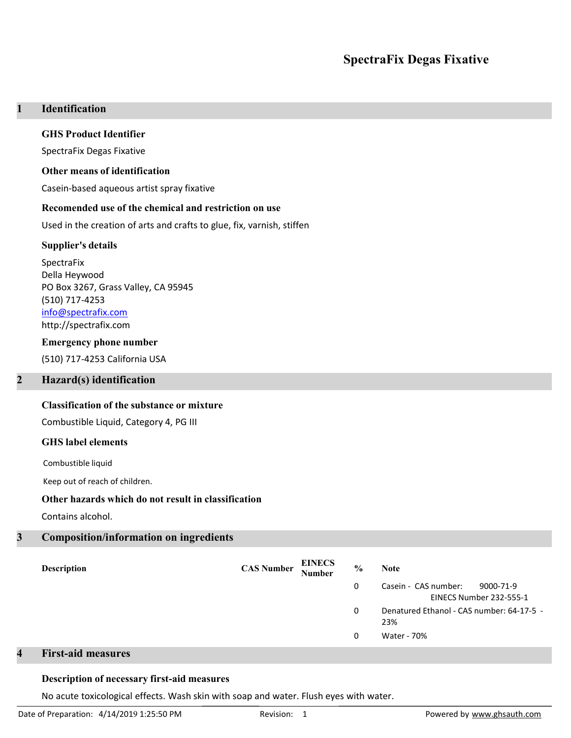# SpectraFix Degas Fixative

# 1 Identification

### GHS Product Identifier

SpectraFix Degas Fixative

#### Other means of identification

Casein-based aqueous artist spray fixative

#### Recomended use of the chemical and restriction on use

Used in the creation of arts and crafts to glue, fix, varnish, stiffen

#### Supplier's details

SpectraFix Della Heywood PO Box 3267, Grass Valley, CA 95945 (510) 717-4253 info@spectrafix.com http://spectrafix.com

#### Emergency phone number

(510) 717-4253 California USA

## 2 Hazard(s) identification

## Classification of the substance or mixture

Combustible Liquid, Category 4, PG III

### GHS label elements

Combustible liquid

Keep out of reach of children.

## Other hazards which do not result in classification

Contains alcohol.

## 3 Composition/information on ingredients

| <b>Description</b> | <b>CAS Number</b> | <b>EINECS</b><br>Number | $\frac{0}{0}$ | <b>Note</b>                                                  |
|--------------------|-------------------|-------------------------|---------------|--------------------------------------------------------------|
|                    |                   |                         | 0             | Casein - CAS number:<br>9000-71-9<br>EINECS Number 232-555-1 |
|                    |                   |                         | 0             | Denatured Ethanol - CAS number: 64-17-5 -<br>23%             |
|                    |                   |                         | 0             | Water - 70%                                                  |

# 4 First-aid measures

### Description of necessary first-aid measures

No acute toxicological effects. Wash skin with soap and water. Flush eyes with water.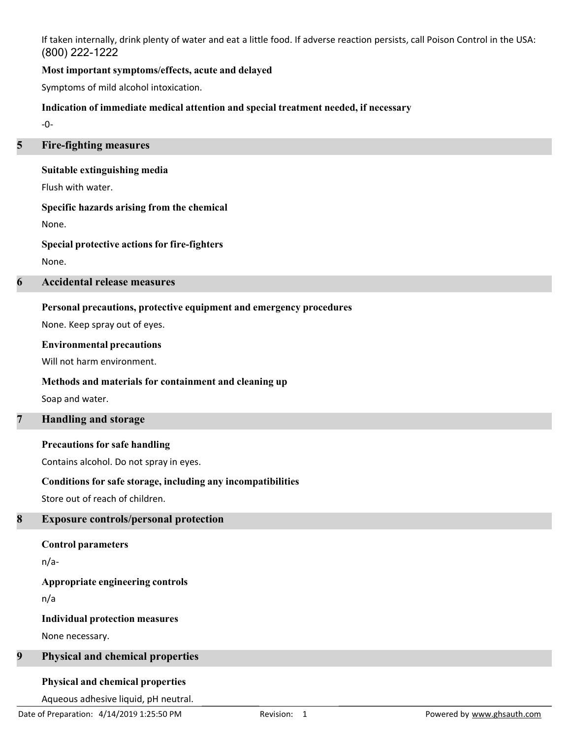If taken internally, drink plenty of water and eat a little food. If adverse reaction persists, call Poison Control in the USA: (800) 222-1222

## Most important symptoms/effects, acute and delayed

Symptoms of mild alcohol intoxication.

## Indication of immediate medical attention and special treatment needed, if necessary

-0-

## 5 Fire-fighting measures

## Suitable extinguishing media

Flush with water.

## Specific hazards arising from the chemical

None.

## Special protective actions for fire-fighters

None.

# 6 Accidental release measures

# Personal precautions, protective equipment and emergency procedures

None. Keep spray out of eyes.

## Environmental precautions

Will not harm environment.

# Methods and materials for containment and cleaning up

Soap and water.

# 7 Handling and storage

# Precautions for safe handling

Contains alcohol. Do not spray in eyes.

# Conditions for safe storage, including any incompatibilities

Store out of reach of children.

# 8 Exposure controls/personal protection

# Control parameters

n/a-

# Appropriate engineering controls

n/a

# Individual protection measures

None necessary.

# 9 Physical and chemical properties

# Physical and chemical properties

Aqueous adhesive liquid, pH neutral.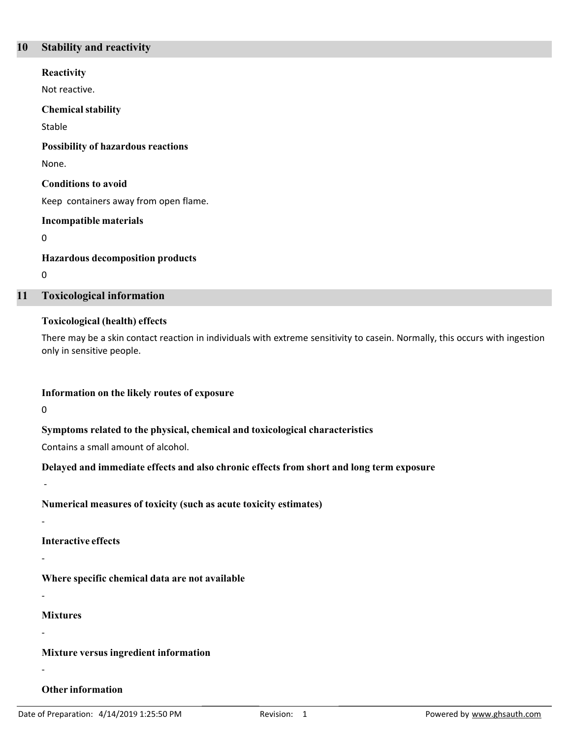## 10 Stability and reactivity

Not reactive. **Reactivity** Stable Chemical stability None. Possibility of hazardous reactions Keep containers away from open flame. Conditions to avoid 0 Incompatible materials 0 Hazardous decomposition products

### 11 Toxicological information

### Toxicological (health) effects

There may be a skin contact reaction in individuals with extreme sensitivity to casein. Normally, this occurs with ingestion only in sensitive people.

### Information on the likely routes of exposure

 $\overline{0}$ 

-

-

-

-

-

-

## Symptoms related to the physical, chemical and toxicological characteristics

Contains a small amount of alcohol.

## Delayed and immediate effects and also chronic effects from short and long term exposure

Numerical measures of toxicity (such as acute toxicity estimates)

Interactive effects

Where specific chemical data are not available

Mixtures

Mixture versus ingredient information

### Other information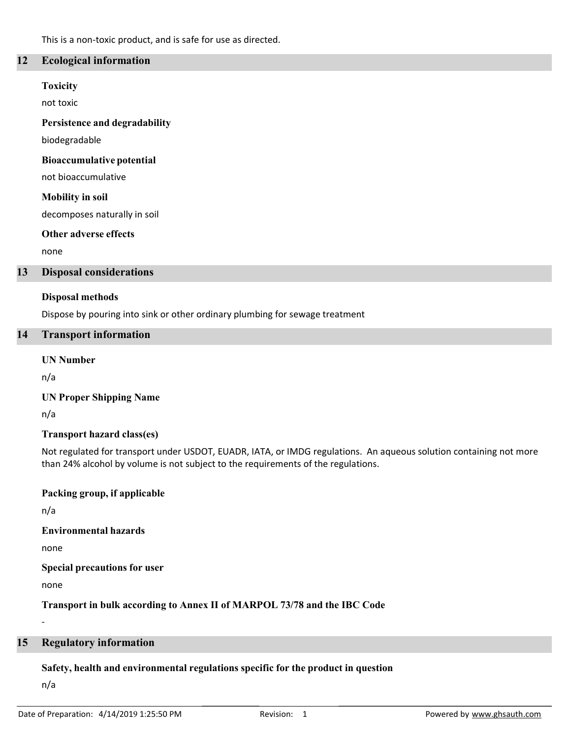This is a non-toxic product, and is safe for use as directed.

## 12 Ecological information

#### Toxicity

not toxic

Persistence and degradability

biodegradable

### Bioaccumulative potential

not bioaccumulative

### Mobility in soil

decomposes naturally in soil

### Other adverse effects

none

### 13 Disposal considerations

### Disposal methods

Dispose by pouring into sink or other ordinary plumbing for sewage treatment

## 14 Transport information

### UN Number

n/a

## UN Proper Shipping Name

n/a

## Transport hazard class(es)

Not regulated for transport under USDOT, EUADR, IATA, or IMDG regulations. An aqueous solution containing not more than 24% alcohol by volume is not subject to the requirements of the regulations.

## Packing group, if applicable

n/a

## Environmental hazards

none

### Special precautions for user

none

-

Transport in bulk according to Annex II of MARPOL 73/78 and the IBC Code

## 15 Regulatory information

## Safety, health and environmental regulations specific for the product in question

n/a